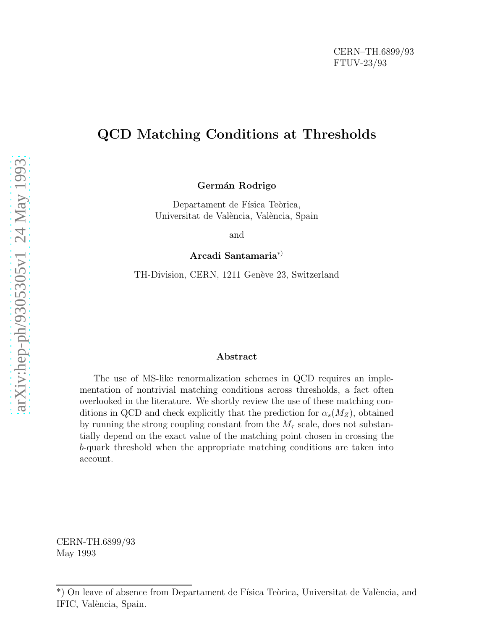## QCD Matching Conditions at Thresholds

Germán Rodrigo

Departament de Física Teòrica, Universitat de València, València, Spain

and

Arcadi Santamaria ∗ )

TH-Division, CERN, 1211 Genève 23, Switzerland

#### Abstract

The use of MS-like renormalization schemes in QCD requires an implementation of nontrivial matching conditions across thresholds, a fact often overlooked in the literature. We shortly review the use of these matching conditions in QCD and check explicitly that the prediction for  $\alpha_s(M_Z)$ , obtained by running the strong coupling constant from the  $M_{\tau}$  scale, does not substantially depend on the exact value of the matching point chosen in crossing the b-quark threshold when the appropriate matching conditions are taken into account.

CERN-TH.6899/93 May 1993

<sup>\*)</sup> On leave of absence from Departament de Física Teòrica, Universitat de València, and IFIC, València, Spain.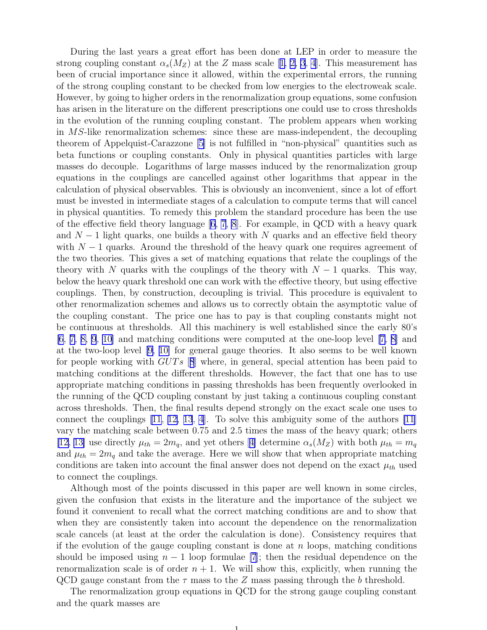During the last years a great effort has been done at LEP in order to measure the strongcoupling constant  $\alpha_s(M_Z)$  at the Z mass scale [[1, 2, 3](#page-7-0), [4](#page-7-0)]. This measurement has been of crucial importance since it allowed, within the experimental errors, the running of the strong coupling constant to be checked from low energies to the electroweak scale. However, by going to higher orders in the renormalization group equations, some confusion has arisen in the literature on the different prescriptions one could use to cross thresholds in the evolution of the running coupling constant. The problem appears when working in MS-like renormalization schemes: since these are mass-independent, the decoupling theorem of Appelquist-Carazzone [\[5\]](#page-7-0) is not fulfilled in "non-physical" quantities such as beta functions or coupling constants. Only in physical quantities particles with large masses do decouple. Logarithms of large masses induced by the renormalization group equations in the couplings are cancelled against other logarithms that appear in the calculation of physical observables. This is obviously an inconvenient, since a lot of effort must be invested in intermediate stages of a calculation to compute terms that will cancel in physical quantities. To remedy this problem the standard procedure has been the use of the effective field theory language [\[6, 7](#page-7-0), [8](#page-7-0)]. For example, in QCD with a heavy quark and  $N-1$  light quarks, one builds a theory with N quarks and an effective field theory with  $N-1$  quarks. Around the threshold of the heavy quark one requires agreement of the two theories. This gives a set of matching equations that relate the couplings of the theory with N quarks with the couplings of the theory with  $N-1$  quarks. This way, below the heavy quark threshold one can work with the effective theory, but using effective couplings. Then, by construction, decoupling is trivial. This procedure is equivalent to other renormalization schemes and allows us to correctly obtain the asymptotic value of the coupling constant. The price one has to pay is that coupling constants might not be continuous at thresholds. All this machinery is well established since the early 80's [\[6, 7, 8, 9](#page-7-0), [10\]](#page-7-0) and matching conditions were computed at the one-loop level[[7, 8\]](#page-7-0) and at the two-loop level [\[9, 10\]](#page-7-0) for general gauge theories. It also seems to be well known for people working with  $GUTs$  [[8](#page-7-0)] where, in general, special attention has been paid to matching conditions at the different thresholds. However, the fact that one has to use appropriate matching conditions in passing thresholds has been frequently overlooked in the running of the QCD coupling constant by just taking a continuous coupling constant across thresholds. Then, the final results depend strongly on the exact scale one uses to connect the couplings [\[11, 12, 13](#page-7-0), [4](#page-7-0)]. To solve this ambiguity some of the authors [\[11](#page-7-0)] vary the matching scale between 0.75 and 2.5 times the mass of the heavy quark; others [\[12, 13\]](#page-7-0)use directly  $\mu_{th} = 2m_q$ , and yet others [[4\]](#page-7-0) determine  $\alpha_s(M_Z)$  with both  $\mu_{th} = m_q$ and  $\mu_{th} = 2m_q$  and take the average. Here we will show that when appropriate matching conditions are taken into account the final answer does not depend on the exact  $\mu_{th}$  used to connect the couplings.

Although most of the points discussed in this paper are well known in some circles, given the confusion that exists in the literature and the importance of the subject we found it convenient to recall what the correct matching conditions are and to show that when they are consistently taken into account the dependence on the renormalization scale cancels (at least at the order the calculation is done). Consistency requires that if the evolution of the gauge coupling constant is done at  $n$  loops, matching conditions should be imposed using  $n-1$  loop formulae [\[7](#page-7-0)]; then the residual dependence on the renormalization scale is of order  $n + 1$ . We will show this, explicitly, when running the QCD gauge constant from the  $\tau$  mass to the Z mass passing through the b threshold.

The renormalization group equations in QCD for the strong gauge coupling constant and the quark masses are

1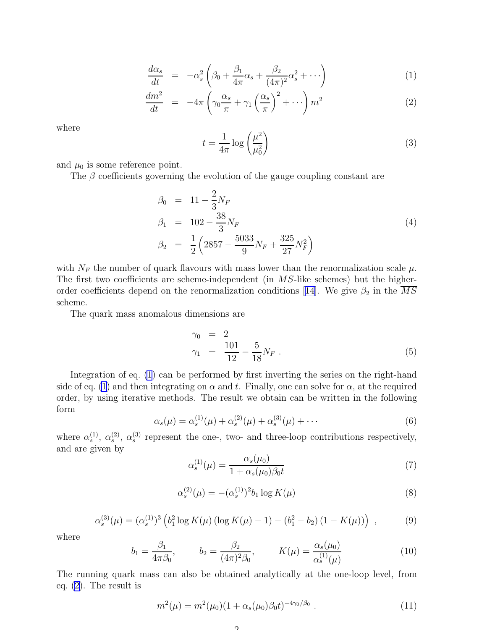$$
\frac{d\alpha_s}{dt} = -\alpha_s^2 \left(\beta_0 + \frac{\beta_1}{4\pi} \alpha_s + \frac{\beta_2}{(4\pi)^2} \alpha_s^2 + \cdots\right)
$$
\n(1)

$$
\frac{dm^2}{dt} = -4\pi \left(\gamma_0 \frac{\alpha_s}{\pi} + \gamma_1 \left(\frac{\alpha_s}{\pi}\right)^2 + \cdots\right) m^2 \tag{2}
$$

<span id="page-2-0"></span>where

$$
t = \frac{1}{4\pi} \log\left(\frac{\mu^2}{\mu_0^2}\right) \tag{3}
$$

and  $\mu_0$  is some reference point.

The  $\beta$  coefficients governing the evolution of the gauge coupling constant are

$$
\beta_0 = 11 - \frac{2}{3} N_F
$$
\n
$$
\beta_1 = 102 - \frac{38}{3} N_F
$$
\n
$$
\beta_2 = \frac{1}{2} \left( 2857 - \frac{5033}{9} N_F + \frac{325}{27} N_F^2 \right)
$$
\n(4)

with  $N_F$  the number of quark flavours with mass lower than the renormalization scale  $\mu$ . The first two coefficients are scheme-independent (in MS-like schemes) but the higher-order coefficients depend on the renormalization conditions [[14\]](#page-7-0). We give  $\beta_2$  in the  $\overline{MS}$ scheme.

The quark mass anomalous dimensions are

$$
\gamma_0 = 2 \n\gamma_1 = \frac{101}{12} - \frac{5}{18} N_F.
$$
\n(5)

Integration of eq. (1) can be performed by first inverting the series on the right-hand side of eq. (1) and then integrating on  $\alpha$  and t. Finally, one can solve for  $\alpha$ , at the required order, by using iterative methods. The result we obtain can be written in the following form

$$
\alpha_s(\mu) = \alpha_s^{(1)}(\mu) + \alpha_s^{(2)}(\mu) + \alpha_s^{(3)}(\mu) + \cdots
$$
\n(6)

where  $\alpha_s^{(1)}$ ,  $\alpha_s^{(2)}$ ,  $\alpha_s^{(3)}$  represent the one-, two- and three-loop contributions respectively, and are given by

$$
\alpha_s^{(1)}(\mu) = \frac{\alpha_s(\mu_0)}{1 + \alpha_s(\mu_0)\beta_0 t} \tag{7}
$$

$$
\alpha_s^{(2)}(\mu) = -(\alpha_s^{(1)})^2 b_1 \log K(\mu)
$$
\n(8)

$$
\alpha_s^{(3)}(\mu) = (\alpha_s^{(1)})^3 \left( b_1^2 \log K(\mu) \left( \log K(\mu) - 1 \right) - (b_1^2 - b_2) \left( 1 - K(\mu) \right) \right) ,\tag{9}
$$

where

$$
b_1 = \frac{\beta_1}{4\pi\beta_0}, \qquad b_2 = \frac{\beta_2}{(4\pi)^2\beta_0}, \qquad K(\mu) = \frac{\alpha_s(\mu_0)}{\alpha_s^{(1)}(\mu)} \tag{10}
$$

The running quark mass can also be obtained analytically at the one-loop level, from eq. (2). The result is

$$
m^{2}(\mu) = m^{2}(\mu_{0})(1 + \alpha_{s}(\mu_{0})\beta_{0}t)^{-4\gamma_{0}/\beta_{0}}.
$$
\n(11)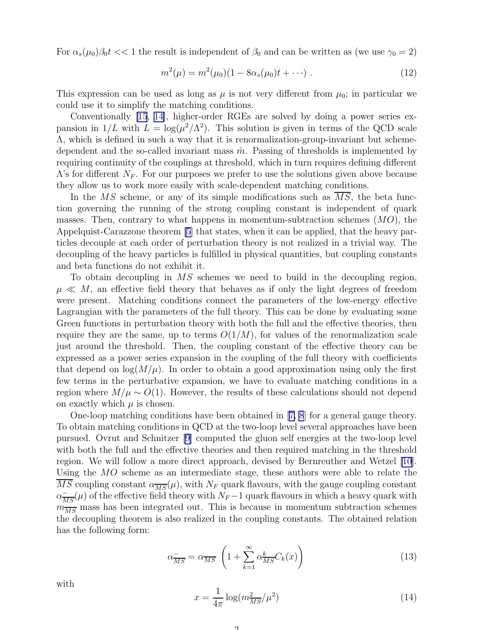<span id="page-3-0"></span>For  $\alpha_s(\mu_0)\beta_0 t << 1$  the result is independent of  $\beta_0$  and can be written as (we use  $\gamma_0 = 2$ )

$$
m^{2}(\mu) = m^{2}(\mu_{0})(1 - 8\alpha_{s}(\mu_{0})t + \cdots) . \qquad (12)
$$

This expression can be used as long as  $\mu$  is not very different from  $\mu_0$ ; in particular we could use it to simplify the matching conditions.

Conventionally [\[15](#page-7-0), [14\]](#page-7-0), higher-order RGEs are solved by doing a power series expansion in  $1/L$  with  $L = \log(\mu^2/\Lambda^2)$ . This solution is given in terms of the QCD scale Λ, which is defined in such a way that it is renormalization-group-invariant but schemedependent and the so-called invariant mass  $\hat{m}$ . Passing of thresholds is implemented by requiring continuity of the couplings at threshold, which in turn requires defining different  $\Lambda$ 's for different  $N_F$ . For our purposes we prefer to use the solutions given above because they allow us to work more easily with scale-dependent matching conditions.

In the  $\overline{MS}$  scheme, or any of its simple modifications such as  $\overline{MS}$ , the beta function governing the running of the strong coupling constant is independent of quark masses. Then, contrary to what happens in momentum-subtraction schemes  $(MO)$ , the Appelquist-Carazzone theorem [\[5](#page-7-0)] that states, when it can be applied, that the heavy particles decouple at each order of perturbation theory is not realized in a trivial way. The decoupling of the heavy particles is fulfilled in physical quantities, but coupling constants and beta functions do not exhibit it.

To obtain decoupling in MS schemes we need to build in the decoupling region,  $\mu \ll M$ , an effective field theory that behaves as if only the light degrees of freedom were present. Matching conditions connect the parameters of the low-energy effective Lagrangian with the parameters of the full theory. This can be done by evaluating some Green functions in perturbation theory with both the full and the effective theories, then require they are the same, up to terms  $O(1/M)$ , for values of the renormalization scale just around the threshold. Then, the coupling constant of the effective theory can be expressed as a power series expansion in the coupling of the full theory with coefficients that depend on  $\log(M/\mu)$ . In order to obtain a good approximation using only the first few terms in the perturbative expansion, we have to evaluate matching conditions in a region where  $M/\mu \sim O(1)$ . However, the results of these calculations should not depend on exactly which  $\mu$  is chosen.

One-loop matching conditions have been obtained in[[7, 8](#page-7-0)] for a general gauge theory. To obtain matching conditions in QCD at the two-loop level several approaches have been pursued. Ovrut and Schnitzer [\[9](#page-7-0)] computed the gluon self energies at the two-loop level with both the full and the effective theories and then required matching in the threshold region. We will follow a more direct approach, devised by Bernreuther and Wetzel [\[10\]](#page-7-0). Using the MO scheme as an intermediate stage, these authors were able to relate the MS coupling constant  $\alpha_{\overline{MS}}(\mu)$ , with  $N_F$  quark flavours, with the gauge coupling constant  $\alpha_{\overline{MS}}^{-}(\mu)$  of the effective field theory with  $N_F-1$  quark flavours in which a heavy quark with  $m_{\overline{MS}}^{\overline{MS}}$  mass has been integrated out. This is because in momentum subtraction schemes the decoupling theorem is also realized in the coupling constants. The obtained relation has the following form:

 $\overline{Q}$ 

$$
\alpha_{\overline{MS}}^{-} = \alpha_{\overline{MS}} \left( 1 + \sum_{k=1}^{\infty} \alpha_{\overline{MS}}^{k} C_k(x) \right)
$$
\n(13)

$$
x = \frac{1}{4\pi} \log(m_{\overline{MS}}^2/\mu^2)
$$
\n(14)

with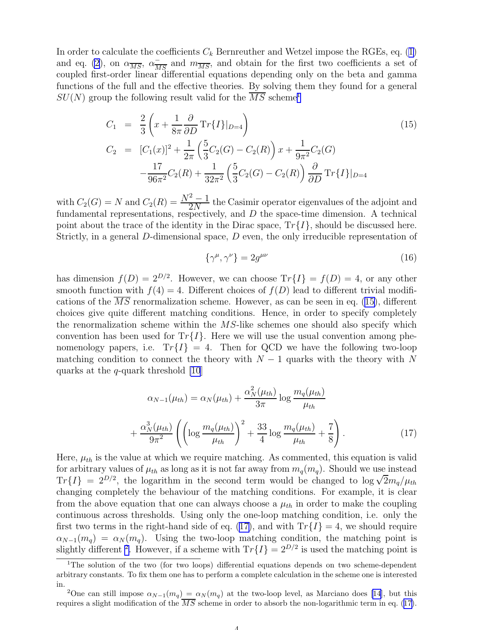<span id="page-4-0"></span>In order to calculate the coefficients  $C_k$  Bernreuther and Wetzel impose the RGEs, eq. ([1\)](#page-2-0) and eq. [\(2](#page-2-0)), on  $\alpha_{\overline{MS}}$ ,  $\alpha_{\overline{MS}}^-$  and  $m_{\overline{MS}}^-$ , and obtain for the first two coefficients a set of coupled first-order linear differential equations depending only on the beta and gamma functions of the full and the effective theories. By solving them they found for a general  $SU(N)$  group the following result valid for the  $\overline{MS}$  scheme<sup>1</sup>

$$
C_1 = \frac{2}{3} \left( x + \frac{1}{8\pi} \frac{\partial}{\partial D} \operatorname{Tr} \{ I \} |_{D=4} \right)
$$
(15)  
\n
$$
C_2 = [C_1(x)]^2 + \frac{1}{2\pi} \left( \frac{5}{3} C_2(G) - C_2(R) \right) x + \frac{1}{9\pi^2} C_2(G)
$$
  
\n
$$
-\frac{17}{96\pi^2} C_2(R) + \frac{1}{32\pi^2} \left( \frac{5}{3} C_2(G) - C_2(R) \right) \frac{\partial}{\partial D} \operatorname{Tr} \{ I \} |_{D=4}
$$

with  $C_2(G) = N$  and  $C_2(R) = \frac{N^2 - 1}{2N}$  the Casimir operator eigenvalues of the adjoint and fundamental representations, respectively, and  $D$  the space-time dimension. A technical point about the trace of the identity in the Dirac space,  $Tr{I}$ , should be discussed here. Strictly, in a general D-dimensional space, D even, the only irreducible representation of

$$
\{\gamma^{\mu}, \gamma^{\nu}\} = 2g^{\mu\nu} \tag{16}
$$

has dimension  $f(D) = 2^{D/2}$ . However, we can choose  $Tr{I} = f(D) = 4$ , or any other smooth function with  $f(4) = 4$ . Different choices of  $f(D)$  lead to different trivial modifications of the  $\overline{MS}$  renormalization scheme. However, as can be seen in eq. (15), different choices give quite different matching conditions. Hence, in order to specify completely the renormalization scheme within the  $MS$ -like schemes one should also specify which convention has been used for  $Tr{I}$ . Here we will use the usual convention among phenomenology papers, i.e.  $Tr{I} = 4$ . Then for QCD we have the following two-loop matching condition to connect the theory with  $N-1$  quarks with the theory with N quarks at the  $q$ -quark threshold [\[10](#page-7-0)]

$$
\alpha_{N-1}(\mu_{th}) = \alpha_N(\mu_{th}) + \frac{\alpha_N^2(\mu_{th})}{3\pi} \log \frac{m_q(\mu_{th})}{\mu_{th}} + \frac{\alpha_N^3(\mu_{th})}{9\pi^2} \left( \left( \log \frac{m_q(\mu_{th})}{\mu_{th}} \right)^2 + \frac{33}{4} \log \frac{m_q(\mu_{th})}{\mu_{th}} + \frac{7}{8} \right).
$$
(17)

Here,  $\mu_{th}$  is the value at which we require matching. As commented, this equation is valid for arbitrary values of  $\mu_{th}$  as long as it is not far away from  $m_q(m_q)$ . Should we use instead  $Tr{I} = 2^{D/2}$ , the logarithm in the second term would be changed to  $\log \sqrt{2}m_q/\mu_{th}$ changing completely the behaviour of the matching conditions. For example, it is clear from the above equation that one can always choose a  $\mu_{th}$  in order to make the coupling continuous across thresholds. Using only the one-loop matching condition, i.e. only the first two terms in the right-hand side of eq. (17), and with  $Tr{I} = 4$ , we should require  $\alpha_{N-1}(m_q) = \alpha_N(m_q)$ . Using the two-loop matching condition, the matching point is slightly different <sup>2</sup>. However, if a scheme with  $Tr\{I\} = 2^{D/2}$  is used the matching point is

<sup>&</sup>lt;sup>1</sup>The solution of the two (for two loops) differential equations depends on two scheme-dependent arbitrary constants. To fix them one has to perform a complete calculation in the scheme one is interested in.

<sup>&</sup>lt;sup>2</sup>One can still impose  $\alpha_{N-1}(m_q) = \alpha_N(m_q)$  at the two-loop level, as Marciano does [\[14](#page-7-0)], but this requires a slight modification of the  $\overline{MS}$  scheme in order to absorb the non-logarithmic term in eq. (17).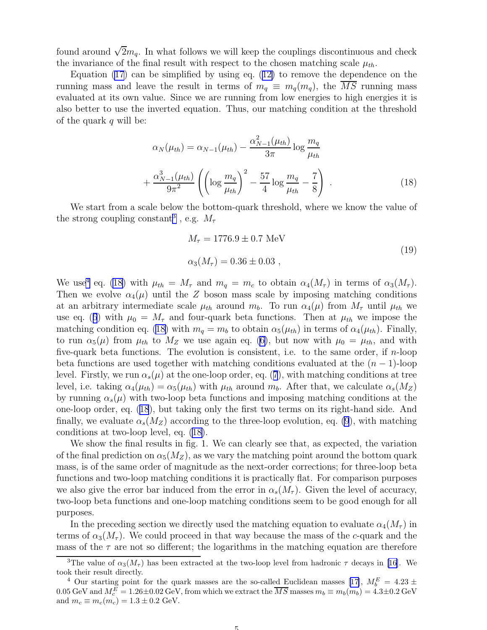<span id="page-5-0"></span>found around  $\sqrt{2}m_q$ . In what follows we will keep the couplings discontinuous and check the invariance of the final result with respect to the chosen matching scale  $\mu_{th}$ .

Equation  $(17)$  $(17)$  can be simplified by using eq.  $(12)$  $(12)$  to remove the dependence on the running mass and leave the result in terms of  $m_q \equiv m_q(m_q)$ , the  $\overline{MS}$  running mass evaluated at its own value. Since we are running from low energies to high energies it is also better to use the inverted equation. Thus, our matching condition at the threshold of the quark  $q$  will be:

$$
\alpha_N(\mu_{th}) = \alpha_{N-1}(\mu_{th}) - \frac{\alpha_{N-1}^2(\mu_{th})}{3\pi} \log \frac{m_q}{\mu_{th}}
$$

$$
+ \frac{\alpha_{N-1}^3(\mu_{th})}{9\pi^2} \left( \left( \log \frac{m_q}{\mu_{th}} \right)^2 - \frac{57}{4} \log \frac{m_q}{\mu_{th}} - \frac{7}{8} \right) . \tag{18}
$$

We start from a scale below the bottom-quark threshold, where we know the value of the strong coupling constant<sup>3</sup>, e.g.  $M_{\tau}$ 

$$
M_{\tau} = 1776.9 \pm 0.7 \text{ MeV}
$$
  
\n
$$
\alpha_3(M_{\tau}) = 0.36 \pm 0.03 ,
$$
\n(19)

We use<sup>4</sup> eq. (18) with  $\mu_{th} = M_{\tau}$  and  $m_q = m_c$  to obtain  $\alpha_4(M_{\tau})$  in terms of  $\alpha_3(M_{\tau})$ . Then we evolve  $\alpha_4(\mu)$  until the Z boson mass scale by imposing matching conditions at an arbitrary intermediate scale  $\mu_{th}$  around  $m_b$ . To run  $\alpha_4(\mu)$  from  $M_{\tau}$  until  $\mu_{th}$  we use eq. ([6](#page-2-0)) with  $\mu_0 = M_\tau$  and four-quark beta functions. Then at  $\mu_{th}$  we impose the matching condition eq. (18) with  $m_q = m_b$  to obtain  $\alpha_5(\mu_{th})$  in terms of  $\alpha_4(\mu_{th})$ . Finally, to run  $\alpha_5(\mu)$  from  $\mu_{th}$  to  $M_Z$  we use again eq. [\(6\)](#page-2-0), but now with  $\mu_0 = \mu_{th}$ , and with five-quark beta functions. The evolution is consistent, i.e. to the same order, if n-loop beta functions are used together with matching conditions evaluated at the  $(n - 1)$ -loop level. Firstly, we run  $\alpha_s(\mu)$  at the one-loop order, eq. ([7](#page-2-0)), with matching conditions at tree level, i.e. taking  $\alpha_4(\mu_{th}) = \alpha_5(\mu_{th})$  with  $\mu_{th}$  around  $m_b$ . After that, we calculate  $\alpha_s(M_Z)$ by running  $\alpha_s(\mu)$  with two-loop beta functions and imposing matching conditions at the one-loop order, eq. (18), but taking only the first two terms on its right-hand side. And finally, we evaluate  $\alpha_s(M_Z)$  according to the three-loop evolution, eq. [\(9](#page-2-0)), with matching conditions at two-loop level, eq. (18).

We show the final results in fig. 1. We can clearly see that, as expected, the variation of the final prediction on  $\alpha_5(M_Z)$ , as we vary the matching point around the bottom quark mass, is of the same order of magnitude as the next-order corrections; for three-loop beta functions and two-loop matching conditions it is practically flat. For comparison purposes we also give the error bar induced from the error in  $\alpha_s(M_\tau)$ . Given the level of accuracy, two-loop beta functions and one-loop matching conditions seem to be good enough for all purposes.

In the preceding section we directly used the matching equation to evaluate  $\alpha_4(M_\tau)$  in terms of  $\alpha_3(M_\tau)$ . We could proceed in that way because the mass of the c-quark and the mass of the  $\tau$  are not so different; the logarithms in the matching equation are therefore

<sup>&</sup>lt;sup>3</sup>The value of  $\alpha_3(M_\tau)$  has been extracted at the two-loop level from hadronic  $\tau$  decays in [\[16\]](#page-7-0). We took their result directly.

<sup>&</sup>lt;sup>4</sup>Our starting point for the quark masses are the so-called Euclidean masses [[17\]](#page-7-0),  $M_b^E = 4.23 \pm 0.000$ 0.05 GeV and  $M_c^E = 1.26 \pm 0.02$  GeV, from which we extract the  $\overline{MS}$  masses  $m_b \equiv m_b(m_b) = 4.3 \pm 0.2$  GeV and  $m_c \equiv m_c(m_c) = 1.3 \pm 0.2$  GeV.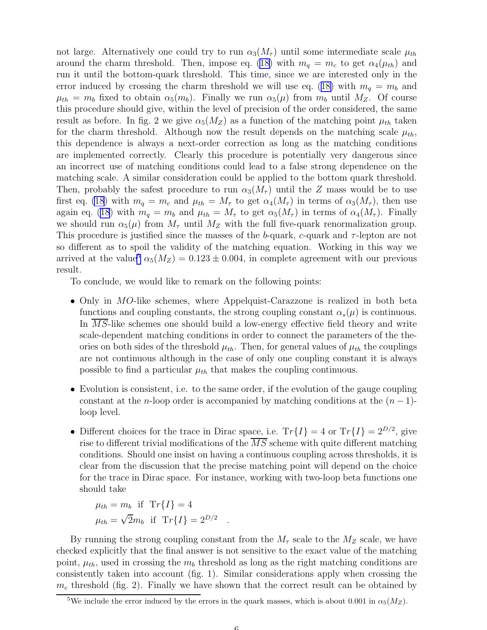not large. Alternatively one could try to run  $\alpha_3(M_\tau)$  until some intermediate scale  $\mu_{th}$ around the charm threshold. Then, impose eq. ([18\)](#page-5-0) with  $m_q = m_c$  to get  $\alpha_4(\mu_{th})$  and run it until the bottom-quark threshold. This time, since we are interested only in the error induced by crossing the charm threshold we will use eq. ([18\)](#page-5-0) with  $m_q = m_b$  and  $\mu_{th} = m_b$  fixed to obtain  $\alpha_5(m_b)$ . Finally we run  $\alpha_5(\mu)$  from  $m_b$  until  $M_Z$ . Of course this procedure should give, within the level of precision of the order considered, the same result as before. In fig. 2 we give  $\alpha_5(M_Z)$  as a function of the matching point  $\mu_{th}$  taken for the charm threshold. Although now the result depends on the matching scale  $\mu_{th}$ , this dependence is always a next-order correction as long as the matching conditions are implemented correctly. Clearly this procedure is potentially very dangerous since an incorrect use of matching conditions could lead to a false strong dependence on the matching scale. A similar consideration could be applied to the bottom quark threshold. Then, probably the safest procedure to run  $\alpha_3(M_\tau)$  until the Z mass would be to use first eq. [\(18](#page-5-0)) with  $m_q = m_c$  and  $\mu_{th} = M_\tau$  to get  $\alpha_4(M_\tau)$  in terms of  $\alpha_3(M_\tau)$ , then use again eq. [\(18](#page-5-0)) with  $m_q = m_b$  and  $\mu_{th} = M_\tau$  to get  $\alpha_5(M_\tau)$  in terms of  $\alpha_4(M_\tau)$ . Finally we should run  $\alpha_5(\mu)$  from  $M_{\tau}$  until  $M_Z$  with the full five-quark renormalization group. This procedure is justified since the masses of the b-quark, c-quark and  $\tau$ -lepton are not so different as to spoil the validity of the matching equation. Working in this way we arrived at the value<sup>5</sup>  $\alpha_5(M_Z) = 0.123 \pm 0.004$ , in complete agreement with our previous result.

To conclude, we would like to remark on the following points:

- Only in MO-like schemes, where Appelquist-Carazzone is realized in both beta functions and coupling constants, the strong coupling constant  $\alpha_s(\mu)$  is continuous. In  $\overline{MS}$ -like schemes one should build a low-energy effective field theory and write scale-dependent matching conditions in order to connect the parameters of the theories on both sides of the threshold  $\mu_{th}$ . Then, for general values of  $\mu_{th}$  the couplings are not continuous although in the case of only one coupling constant it is always possible to find a particular  $\mu_{th}$  that makes the coupling continuous.
- Evolution is consistent, i.e. to the same order, if the evolution of the gauge coupling constant at the n-loop order is accompanied by matching conditions at the  $(n-1)$ loop level.
- Different choices for the trace in Dirac space, i.e.  $Tr\{I\} = 4$  or  $Tr\{I\} = 2^{D/2}$ , give rise to different trivial modifications of the  $\overline{MS}$  scheme with quite different matching conditions. Should one insist on having a continuous coupling across thresholds, it is clear from the discussion that the precise matching point will depend on the choice for the trace in Dirac space. For instance, working with two-loop beta functions one should take

$$
\mu_{th} = m_b \quad \text{if} \quad \text{Tr}\{I\} = 4
$$
\n
$$
\mu_{th} = \sqrt{2}m_b \quad \text{if} \quad \text{Tr}\{I\} = 2^{D/2}
$$

By running the strong coupling constant from the  $M_{\tau}$  scale to the  $M_Z$  scale, we have checked explicitly that the final answer is not sensitive to the exact value of the matching point,  $\mu_{th}$ , used in crossing the  $m_b$  threshold as long as the right matching conditions are consistently taken into account (fig. 1). Similar considerations apply when crossing the  $m_c$  threshold (fig. 2). Finally we have shown that the correct result can be obtained by

.

<sup>&</sup>lt;sup>5</sup>We include the error induced by the errors in the quark masses, which is about 0.001 in  $\alpha_5(M_Z)$ .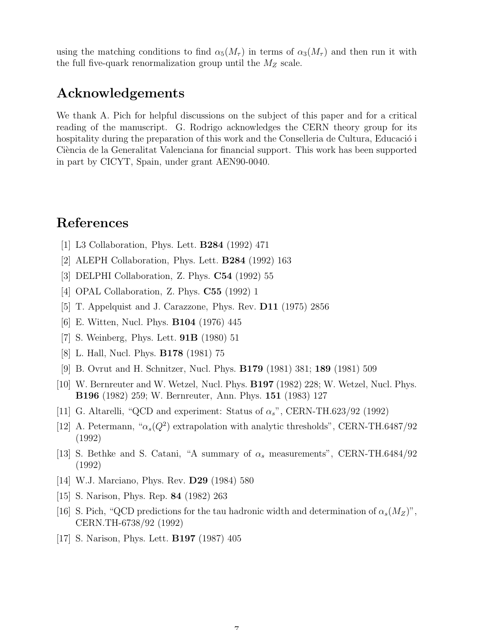<span id="page-7-0"></span>using the matching conditions to find  $\alpha_5(M_\tau)$  in terms of  $\alpha_3(M_\tau)$  and then run it with the full five-quark renormalization group until the  $M_Z$  scale.

### Acknowledgements

We thank A. Pich for helpful discussions on the subject of this paper and for a critical reading of the manuscript. G. Rodrigo acknowledges the CERN theory group for its hospitality during the preparation of this work and the Conselleria de Cultura, Educació i Ciència de la Generalitat Valenciana for financial support. This work has been supported in part by CICYT, Spain, under grant AEN90-0040.

### References

- [1] L3 Collaboration, Phys. Lett. B284 (1992) 471
- [2] ALEPH Collaboration, Phys. Lett. B284 (1992) 163
- [3] DELPHI Collaboration, Z. Phys. C54 (1992) 55
- [4] OPAL Collaboration, Z. Phys. C55 (1992) 1
- [5] T. Appelquist and J. Carazzone, Phys. Rev. D11 (1975) 2856
- [6] E. Witten, Nucl. Phys. B104 (1976) 445
- [7] S. Weinberg, Phys. Lett. 91B (1980) 51
- [8] L. Hall, Nucl. Phys. B178 (1981) 75
- [9] B. Ovrut and H. Schnitzer, Nucl. Phys. B179 (1981) 381; 189 (1981) 509
- [10] W. Bernreuter and W. Wetzel, Nucl. Phys. B197 (1982) 228; W. Wetzel, Nucl. Phys. B196 (1982) 259; W. Bernreuter, Ann. Phys. 151 (1983) 127
- [11] G. Altarelli, "QCD and experiment: Status of  $\alpha_s$ ", CERN-TH.623/92 (1992)
- [12] A. Petermann, " $\alpha_s(Q^2)$  extrapolation with analytic thresholds", CERN-TH.6487/92 (1992)
- [13] S. Bethke and S. Catani, "A summary of  $\alpha_s$  measurements", CERN-TH.6484/92 (1992)
- [14] W.J. Marciano, Phys. Rev. D29 (1984) 580
- [15] S. Narison, Phys. Rep. 84 (1982) 263
- [16] S. Pich, "QCD predictions for the tau hadronic width and determination of  $\alpha_s(M_Z)$ ", CERN.TH-6738/92 (1992)

 $\overline{7}$ 

[17] S. Narison, Phys. Lett. B197 (1987) 405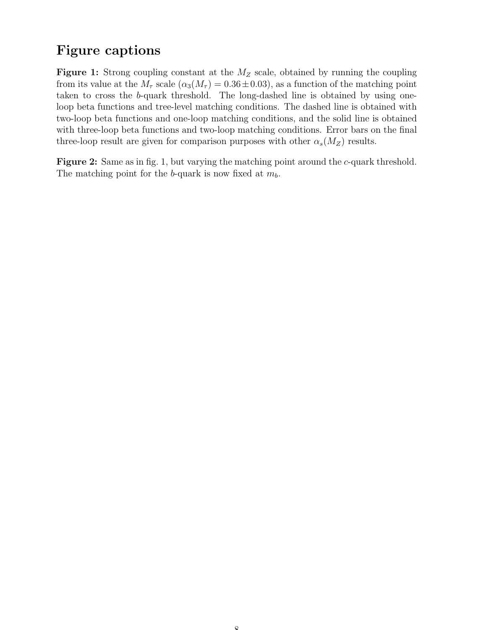# Figure captions

**Figure 1:** Strong coupling constant at the  $M_Z$  scale, obtained by running the coupling from its value at the  $M_{\tau}$  scale  $(\alpha_3(M_{\tau}) = 0.36 \pm 0.03)$ , as a function of the matching point taken to cross the b-quark threshold. The long-dashed line is obtained by using oneloop beta functions and tree-level matching conditions. The dashed line is obtained with two-loop beta functions and one-loop matching conditions, and the solid line is obtained with three-loop beta functions and two-loop matching conditions. Error bars on the final three-loop result are given for comparison purposes with other  $\alpha_s(M_Z)$  results.

Figure 2: Same as in fig. 1, but varying the matching point around the c-quark threshold. The matching point for the b-quark is now fixed at  $m_b$ .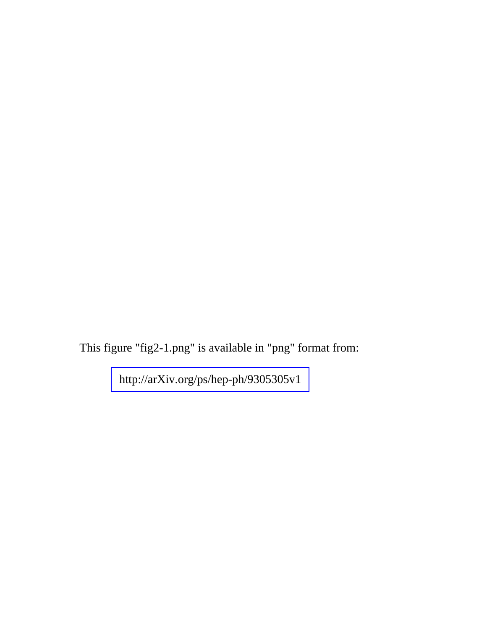This figure "fig2-1.png" is available in "png" format from:

<http://arXiv.org/ps/hep-ph/9305305v1>